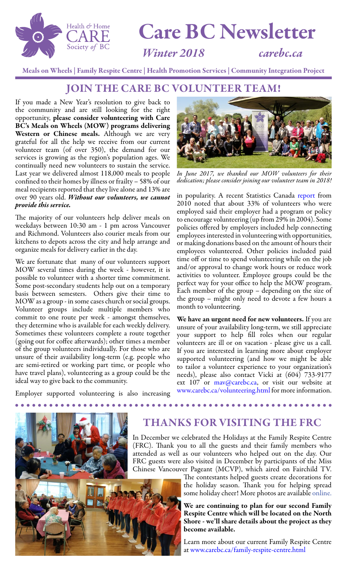

# Care BC Newsletter

#### *Winter 2018 [carebc.ca](http://www.carebc.ca)*

Meals on Wheels | Family Respite Centre | Health Promotion Services | Community Integration Project

#### JOIN THE CARE BC VOLUNTEER TEAM!

If you made a New Year's resolution to give back to the community and are still looking for the right opportunity, please consider volunteering with Care BC's Meals on Wheels (MOW) programs delivering Western or Chinese meals. Although we are very grateful for all the help we receive from our current volunteer team (of over 350), the demand for our services is growing as the region's population ages. We continually need new volunteers to sustain the service. Last year we delivered almost 118,000 meals to people confined to their homes by illness or frailty – 58% of our meal recipients reported that they live alone and 13% are over 90 years old. *Without our volunteers, we cannot provide this service.*

The majority of our volunteers help deliver meals on weekdays between 10:30 am - 1 pm across Vancouver and Richmond. Volunteers also courier meals from our kitchens to depots across the city and help arrange and organize meals for delivery earlier in the day.

We are fortunate that many of our volunteers support MOW several times during the week - however, it is possible to volunteer with a shorter time commitment. Some post-secondary students help out on a temporary basis between semesters. Others give their time to MOW as a group - in some cases church or social groups. Volunteer groups include multiple members who commit to one route per week - amongst themselves, they determine who is available for each weekly delivery. Sometimes these volunteers complete a route together (going out for coffee afterwards); other times a member of the group volunteers individually. For those who are unsure of their availability long-term (e.g. people who are semi-retired or working part time, or people who have travel plans), volunteering as a group could be the ideal way to give back to the community.

Employer supported volunteering is also increasing



*In June 2017, we thanked our MOW volunteers for their dedication; please consider joining our volunteer team in 2018!*

in popularity. A recent [Statistics Canada report](http://www.statcan.gc.ca/pub/11-008-x/2012001/article/11670-eng.htm) from 2010 noted that about 33% of volunteers who were employed said their employer had a program or policy to encourage volunteering (up from 29% in 2004). Some policies offered by employers included help connecting employees interested in volunteering with opportunities, or making donations based on the amount of hours their employees volunteered. Other policies included paid time off or time to spend volunteering while on the job and/or approval to change work hours or reduce work activities to volunteer. Employee groups could be the perfect way for your office to help the MOW program. Each member of the group – depending on the size of the group – might only need to devote a few hours a month to volunteering.

We have an urgent need for new volunteers. If you are unsure of your availability long-term, we still appreciate your support to help fill roles when our regular volunteers are ill or on vacation - please give us a call. If you are interested in learning more about employer supported volunteering (and how we might be able to tailor a volunteer experience to your organization's needs), please also contact Vicki at (604) 733-9177 ext 107 or [mav@carebc.ca](mailto:mav%40carebc.ca?subject=), or visit our website at [www.carebc.ca/volunteering.html](http://www.carebc.ca/volunteering.html) for more information.



#### THANKS FOR VISITING THE FRC

In December we celebrated the Holidays at the Family Respite Centre (FRC). Thank you to all the guests and their family members who attended as well as our volunteers who helped out on the day. Our FRC guests were also visited in December by participants of the Miss Chinese Vancouver Pageant (MCVP), which aired on Fairchild TV.

The contestants helped guests create decorations for the holiday season. Thank you for helping spread [s](http://fairchildtv.com/whatsnews.php?type=vancouver&year=2017#event1431)ome holiday cheer! More photos are available [online.](http://fairchildtv.com/whatsnews.php?type=vancouver&year=2017#event1431)

We are continuing to plan for our second Family Respite Centre which will be located on the North Shore - we'll share details about the project as they become available.

Learn more about our current Family Respite Centre at [www.carebc.ca/family-respite-centre.html](http://www.carebc.ca/family-respite-centre.html)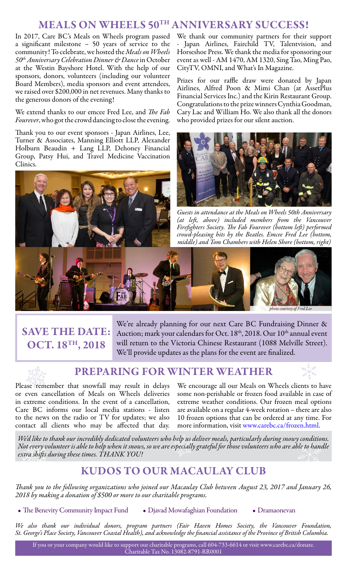#### MEALS ON WHEELS 50TH ANNIVERSARY SUCCESS!

In 2017, Care BC's Meals on Wheels program passed a significant milestone – 50 years of service to the community! To celebrate, we hosted the *Meals on Wheels 50th Anniversary Celebration Dinner & Dance* in October at the Westin Bayshore Hotel. With the help of our sponsors, donors, volunteers (including our volunteer Board Members), media sponsors and event attendees, we raised over \$200,000 in net revenues. Many thanks to the generous donors of the evening!

We extend thanks to our emcee Fred Lee, and *The Fab Fourever*, who got the crowd dancing to close the evening.

Thank you to our event sponsors - Japan Airlines, Lee, Turner & Associates, Manning Elliott LLP, Alexander Holburn Beaudin + Lang LLP, Dehoney Financial Group, Patsy Hui, and Travel Medicine Vaccination Clinics.



We thank our community partners for their support - Japan Airlines, Fairchild TV, Talentvision, and Horseshoe Press. We thank the media for sponsoring our event as well - AM 1470, AM 1320, Sing Tao, Ming Pao, CityTV, OMNI, and What's In Magazine.

Prizes for our raffle draw were donated by Japan Airlines, Alfred Poon & Mimi Chan (at AssetPlus Financial Services Inc.) and the Kirin Restaurant Group. Congratulations to the prize winners Cynthia Goodman, Cary Lac and William Ho. We also thank all the donors who provided prizes for our silent auction.



*Guests in attendance at the Meals on Wheels 50th Anniversary (at left, above) included members from the Vancouver Firefighters Society. The Fab Fourever (bottom left) performed crowd-pleasing hits by the Beatles. Emcee Fred Lee (bottom, middle) and Tom Chambers with Helen Shore (bottom, right)* 

# *photo courtesy of Fred Lee*

## SAVE THE DATE: OCT. 18TH, 2018

We're already planning for our next Care BC Fundraising Dinner & Auction; mark your calendars for Oct.  $18<sup>th</sup>$ , 2018. Our  $10<sup>th</sup>$  annual event will return to the Victoria Chinese Restaurant (1088 Melville Street). We'll provide updates as the plans for the event are finalized.



#### PREPARING FOR WINTER WEATHER

Please remember that snowfall may result in delays or even cancellation of Meals on Wheels deliveries in extreme conditions. In the event of a cancellation, Care BC informs our local media stations - listen to the news on the radio or TV for updates; we also contact all clients who may be affected that day.

We encourage all our Meals on Wheels clients to have some non-perishable or frozen food available in case of extreme weather conditions. Our frozen meal options are available on a regular 4-week rotation – there are also 10 frozen options that can be ordered at any time. For more information, visit [www.carebc.ca/frozen.html](http://www.carebc.ca/frozen.html).

*We'd like to thank our incredibly dedicated volunteers who help us deliver meals, particularly during snowy conditions. Not every volunteer is able to help when it snows, so we are especially grateful for those volunteers who are able to handle extra shifts during these times. THANK YOU!* 

#### KUDOS TO OUR MACAULAY CLUB

*Thank you to the following organizations who joined our Macaulay Club between August 23, 2017 and January 26, 2018 by making a donation of \$500 or more to our charitable programs.*

• The Benevity Community Impact Fund • Djavad Mowafaghian Foundation • Dramaonevan

*We also thank our individual donors, program partners (Fair Haven Homes Society, the Vancouver Foundation, St. George's Place Society, Vancouver Coastal Health), and acknowledge the financial assistance of the Province of British Columbia.*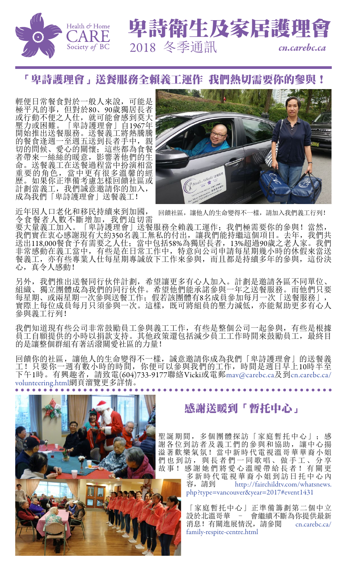

#### 「卑詩護理會」送餐服務全賴義工運作 我們熱切需要你的參與!

輕便日常餐食對於一般人來說,可能是 極平凡的事,但對於80、90歲獨居長者 或行動不便之人仕,就可能會感到莫大 壓力或困難。「卑詩護理會」自1967年 開始推出送餐服務。送餐義工將熱騰騰 的餐食逢週一至週五送到長者手中,親 切的問候、愛心的關懷;這些都為食餐 者帶來一絲絲的暖意,影響著他們的生 命。送餐義工在送餐過程當中扮演相當 重要的角色,當中更有很多溫馨的經 歷。如果你正準備考慮怎樣回饋社區或 計劃當義工,我們誠意邀請你的加入, 成為我們「卑詩護理會」送餐義工!



詩衛生及家居護理

2018 冬季通訊 *cn.carebc.ca*

近年因人口老化和移民持續來到加國, 令食餐者人數不斷增加,我們迫切需 回饋社區,讓他人的生命變得不一樣,請加入我們義工行列!

要大量義工加入。「卑詩護理會」送餐服務全賴義工運作;我們極需要你的參與!當然, 我們實在衷心感謝現有大約350名義工無私的付出,讓我們能持繼這個項目。去年,我們共 送出118,000餐食予有需要之人仕;當中包括58%為獨居長者,13%超過90歲之老人家。我們 非常感動在義工當中,有些是在日常工作中,特意向公司申請每星期幾小時的休假來當送 餐義工,亦有些專業人仕每星期專誠放下工作來參與,而且都是持續多年的參與,這份決 心,真令人感動!

另外,我們推出送餐同行伙伴計劃,希望讓更多有心人加入。計劃是邀請各區不同單位、 組織、獨立團體成為我們的同行伙伴。希望他們能承諾參與一年之送餐服務。而他們只要 每星期、或兩星期一次參與送餐工作;假若該團體有8名成員參加每月一次「送餐服務」, 實際上每位成員每月只須參與一次。這樣,既可將組員的壓力減低,亦能幫助更多有心人 參與義工行列!

我們知道現有些公司非常鼓勵員工參與義工工作,有些是整個公司一起參與,有些是根據 員工自願提供的小時以捐款支持。其他政策還包括減少員工工作時間來鼓勵員工,最終目 的是讓整個群組有著活潑關愛社區的力量!

回饋你的社區,讓他人的生命變得不一樣,誠意邀請你成為我們「卑詩護理會」的送餐義 工!只要你一週有數小時的時間,你便可以參與我們的工作,時間是週日早上10時半至 下午1時。有興趣者,請致電(604)733-9177聯絡Vicki或電郵[mav@carebc.ca](mailto:mav%40carebc.ca?subject=)及到[cn.carebc.ca/](http://cn.carebc.ca/volunteering.html) [volunteering.html](http://cn.carebc.ca/volunteering.html)網頁溜覽更多詳情。



聖誕期間,多個團體探訪「家庭暫托中心」;感 謝各位到訪者及義工們的參與和協助,讓中心揚 溢著歡樂氣氛!當中新時代電視溫哥華華裔小姐 們也到訪,與長者們一同歌唱、做手工、分享 故事!感謝她們將愛心溫曖帶給長者!有關更 多新時代電視華裔小姐到訪日托中心內 容,請到 [http://fairchildtv.com/whatsnews.](http://fairchildtv.com/whatsnews.php?type=vancouver&year=2017#event1431) [php?type=vancouver&year=2017#event1431](http://fairchildtv.com/whatsnews.php?type=vancouver&year=2017#event1431)

> 「家庭暫托中心」正準備籌劃第二個中立 設於北溫哥華 - 會繼續不斷為你提供最新 消息!有關進展情況,請參閱 [cn.carebc.ca/](http://cn.carebc.ca/family-respite-centre.html
) [family-respite-centre.html](http://cn.carebc.ca/family-respite-centre.html
)